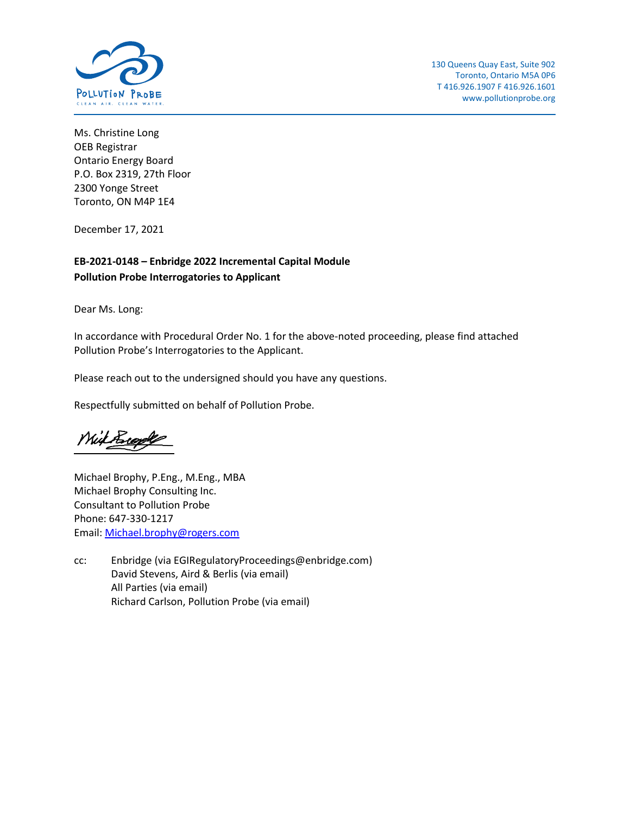

Ms. Christine Long OEB Registrar Ontario Energy Board P.O. Box 2319, 27th Floor 2300 Yonge Street Toronto, ON M4P 1E4

December 17, 2021

## **EB-2021-0148 – Enbridge 2022 Incremental Capital Module Pollution Probe Interrogatories to Applicant**

Dear Ms. Long:

In accordance with Procedural Order No. 1 for the above-noted proceeding, please find attached Pollution Probe's Interrogatories to the Applicant.

Please reach out to the undersigned should you have any questions.

Respectfully submitted on behalf of Pollution Probe.

With Brook

Michael Brophy, P.Eng., M.Eng., MBA Michael Brophy Consulting Inc. Consultant to Pollution Probe Phone: 647-330-1217 Email: [Michael.brophy@rogers.com](mailto:Michael.brophy@rogers.com)

cc: Enbridge (via [EGIRegulatoryProceedings@enbridge.com\)](mailto:EGIRegulatoryProceedings@enbridge.com) David Stevens, Aird & Berlis (via email) All Parties (via email) Richard Carlson, Pollution Probe (via email)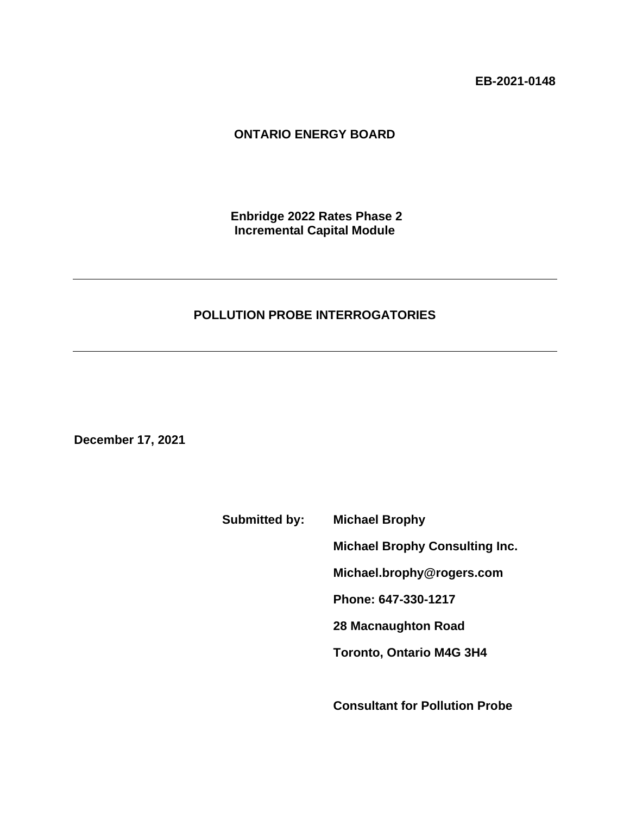**EB-2021-0148**

# **ONTARIO ENERGY BOARD**

**Enbridge 2022 Rates Phase 2 Incremental Capital Module**

## **POLLUTION PROBE INTERROGATORIES**

**December 17, 2021**

**Submitted by: Michael Brophy**

**Michael Brophy Consulting Inc.**

**Michael.brophy@rogers.com**

**Phone: 647-330-1217**

**28 Macnaughton Road**

**Toronto, Ontario M4G 3H4**

**Consultant for Pollution Probe**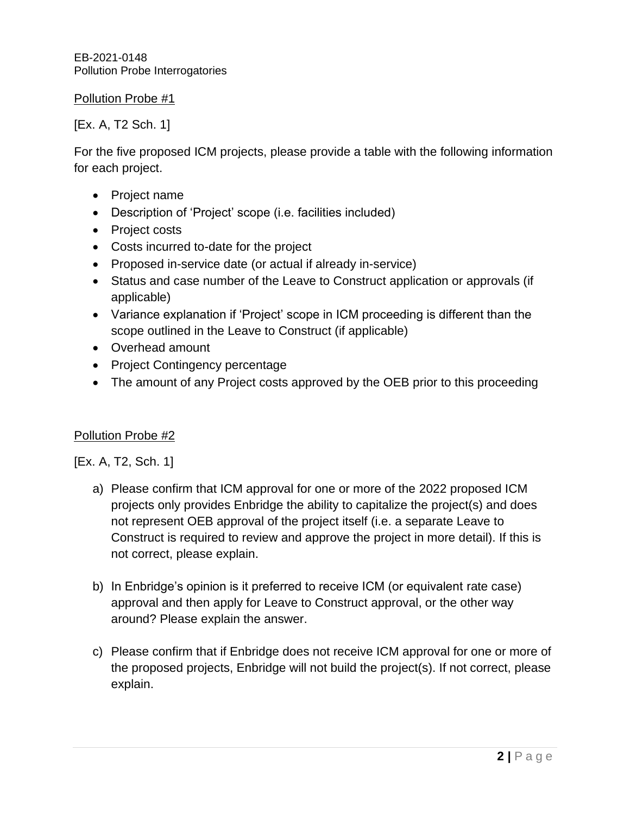EB-2021-0148 Pollution Probe Interrogatories

# Pollution Probe #1

# [Ex. A, T2 Sch. 1]

For the five proposed ICM projects, please provide a table with the following information for each project.

- Project name
- Description of 'Project' scope (i.e. facilities included)
- Project costs
- Costs incurred to-date for the project
- Proposed in-service date (or actual if already in-service)
- Status and case number of the Leave to Construct application or approvals (if applicable)
- Variance explanation if 'Project' scope in ICM proceeding is different than the scope outlined in the Leave to Construct (if applicable)
- Overhead amount
- Project Contingency percentage
- The amount of any Project costs approved by the OEB prior to this proceeding

## Pollution Probe #2

[Ex. A, T2, Sch. 1]

- a) Please confirm that ICM approval for one or more of the 2022 proposed ICM projects only provides Enbridge the ability to capitalize the project(s) and does not represent OEB approval of the project itself (i.e. a separate Leave to Construct is required to review and approve the project in more detail). If this is not correct, please explain.
- b) In Enbridge's opinion is it preferred to receive ICM (or equivalent rate case) approval and then apply for Leave to Construct approval, or the other way around? Please explain the answer.
- c) Please confirm that if Enbridge does not receive ICM approval for one or more of the proposed projects, Enbridge will not build the project(s). If not correct, please explain.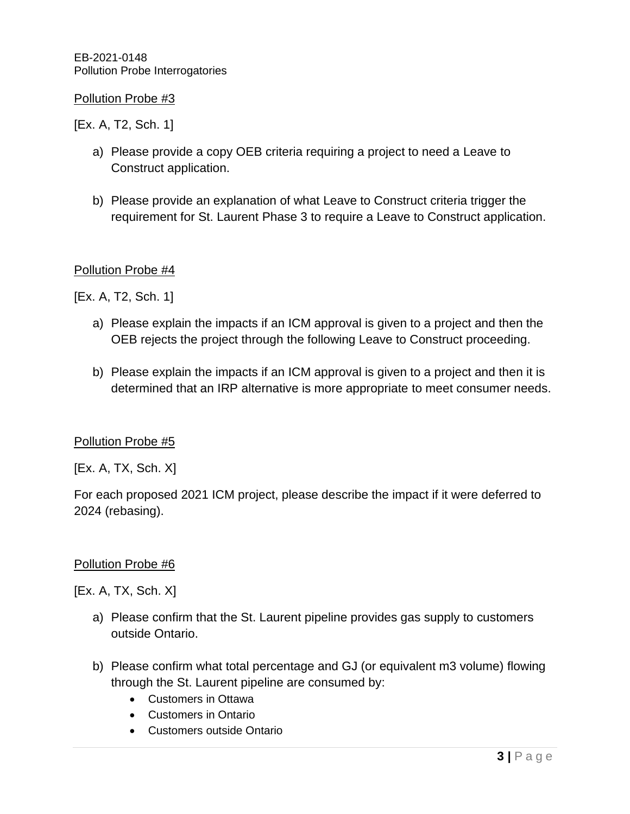EB-2021-0148 Pollution Probe Interrogatories

## Pollution Probe #3

[Ex. A, T2, Sch. 1]

- a) Please provide a copy OEB criteria requiring a project to need a Leave to Construct application.
- b) Please provide an explanation of what Leave to Construct criteria trigger the requirement for St. Laurent Phase 3 to require a Leave to Construct application.

## Pollution Probe #4

[Ex. A, T2, Sch. 1]

- a) Please explain the impacts if an ICM approval is given to a project and then the OEB rejects the project through the following Leave to Construct proceeding.
- b) Please explain the impacts if an ICM approval is given to a project and then it is determined that an IRP alternative is more appropriate to meet consumer needs.

### Pollution Probe #5

[Ex. A, TX, Sch. X]

For each proposed 2021 ICM project, please describe the impact if it were deferred to 2024 (rebasing).

### Pollution Probe #6

[Ex. A, TX, Sch. X]

- a) Please confirm that the St. Laurent pipeline provides gas supply to customers outside Ontario.
- b) Please confirm what total percentage and GJ (or equivalent m3 volume) flowing through the St. Laurent pipeline are consumed by:
	- Customers in Ottawa
	- Customers in Ontario
	- Customers outside Ontario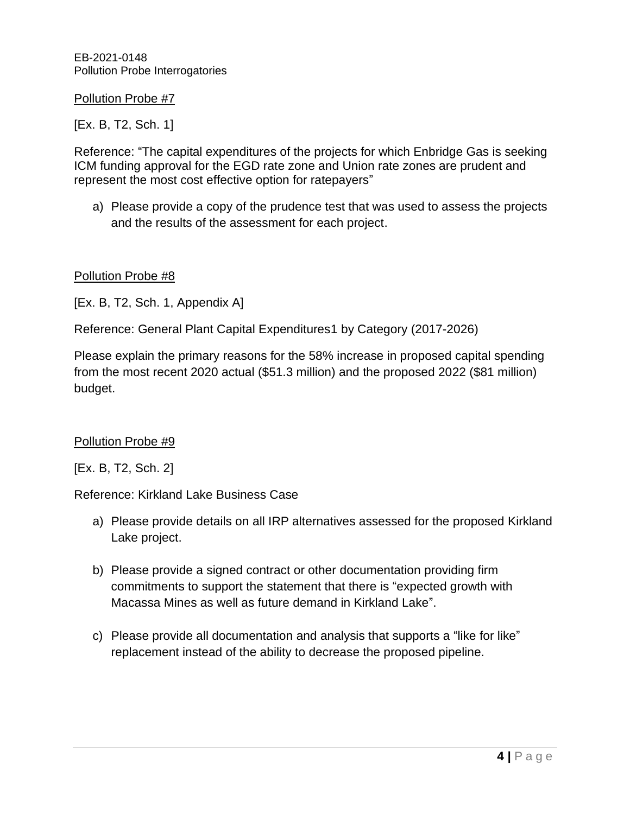EB-2021-0148 Pollution Probe Interrogatories

Pollution Probe #7

[Ex. B, T2, Sch. 1]

Reference: "The capital expenditures of the projects for which Enbridge Gas is seeking ICM funding approval for the EGD rate zone and Union rate zones are prudent and represent the most cost effective option for ratepayers"

a) Please provide a copy of the prudence test that was used to assess the projects and the results of the assessment for each project.

## Pollution Probe #8

[Ex. B, T2, Sch. 1, Appendix A]

Reference: General Plant Capital Expenditures1 by Category (2017-2026)

Please explain the primary reasons for the 58% increase in proposed capital spending from the most recent 2020 actual (\$51.3 million) and the proposed 2022 (\$81 million) budget.

### Pollution Probe #9

[Ex. B, T2, Sch. 2]

Reference: Kirkland Lake Business Case

- a) Please provide details on all IRP alternatives assessed for the proposed Kirkland Lake project.
- b) Please provide a signed contract or other documentation providing firm commitments to support the statement that there is "expected growth with Macassa Mines as well as future demand in Kirkland Lake".
- c) Please provide all documentation and analysis that supports a "like for like" replacement instead of the ability to decrease the proposed pipeline.